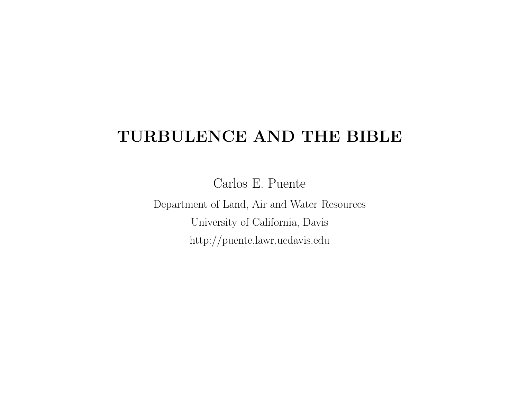# **TURBULENCE AND THE BIBLE**

Carlos E. Puente

Department of Land, Air and Water Resources University of California, Davis http://puente.lawr.ucdavis.edu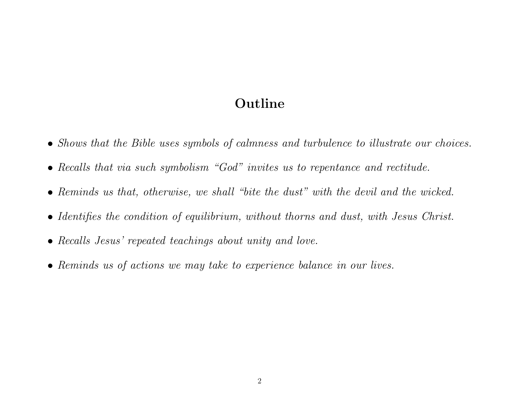#### **Outline**

- *Shows that the Bible uses symbols of calmness and turbulence to illustrate our choices.*
- *Recalls that via such symbolism "God" invites us to repentance and rectitude.*
- *Reminds us that, otherwise, we shall "bite the dust" with the devil and the wicked.*
- *Identifies the condition of equilibrium, without thorns and dust, with Jesus Christ.*
- *Recalls Jesus' repeated teachings about unity and love.*
- *Reminds us of actions we may take to experience balance in our lives.*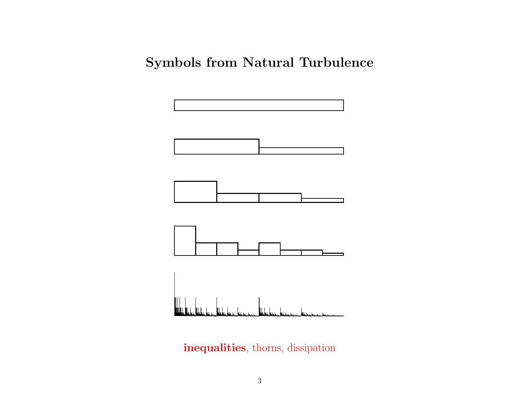## **Symbols from Natural Turbulence**



**inequalities**, thorns, dissipation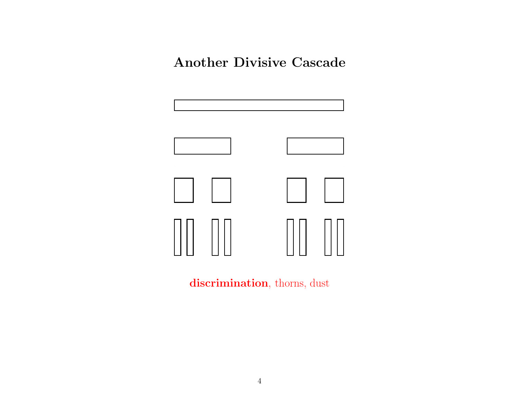### **Another Divisive Cascade**







**discrimination**, thorns, dust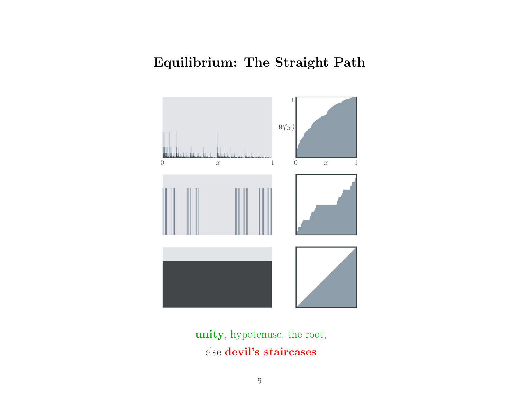## **Equilibrium: The Straight Path**



**unity**, hypotenuse, the root, else **devil's staircases**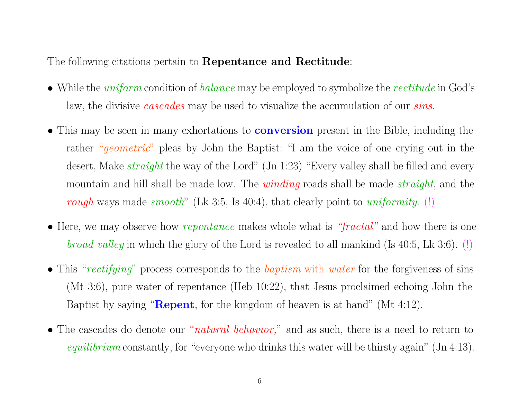The following citations pertain to **Repentance and Rectitude**:

- While the *uniform* condition of *balance* may be employed to symbolize the *rectitude* in God's law, the divisive *cascades* may be used to visualize the accumulation of our *sins*.
- This may be seen in many exhortations to **conversion** present in the Bible, including the rather "*geometric*" <sup>p</sup>leas by John the Baptist: "I am the voice of one crying out in the desert, Make *straight* the way of the Lord" (Jn 1:23) "Every valley shall be filled and every mountain and hill shall be made low. The *winding* roads shall be made *straight*, and the *rough* ways made *smooth*" (Lk 3:5, Is 40:4), that clearly point to *uniformity*. (!)
- Here, we may observe how *repentance* makes whole what is *"fractal"* and how there is one *broad valley* in which the <sup>g</sup>lory of the Lord is revealed to all mankind (Is 40:5, Lk 3:6). (!)
- This "*rectifying*" process corresponds to the *baptism* with *water* for the forgiveness of sins (Mt 3:6), pure water of repentance (Heb 10:22), that Jesus proclaimed echoing John the Baptist by saying "**Repent**, for the kingdom of heaven is at hand" (Mt 4:12).
- The cascades do denote our "*natural behavior,*" and as such, there is <sup>a</sup> need to return to *equilibrium* constantly, for "everyone who drinks this water will be thirsty again" (Jn 4:13).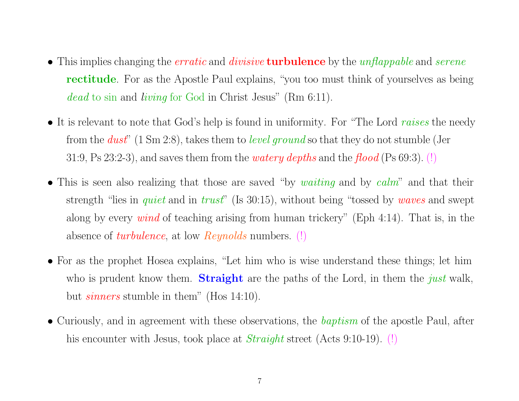- This implies changing the *erratic* and *divisive* **turbulence** by the *unflappable* and *serene* **rectitude**. For as the Apostle Paul explains, "you too must think of yourselves as being *dead* to sin and *living* for God in Christ Jesus" (Rm 6:11).
- It is relevant to note that God's help is found in uniformity. For "The Lord *raises* the needy from the *dust*" (1 Sm 2:8), takes them to *level groun<sup>d</sup>* so that they do not stumble (Jer 31:9, Ps 23:2-3), and saves them from the *watery depths* and the *flood* (Ps 69:3). (!)
- This is seen also realizing that those are saved "by *waiting* and by *calm*" and that their strength "lies in *quiet* and in *trust*" (Is 30:15), without being "tossed by *waves* and swept along by every *wind* of teaching arising from human trickery" (Eph 4:14). That is, in the absence of *turbulence*, at low *Reynolds* numbers. (!)
- For as the prophet Hosea explains, "Let him who is wise understand these things; let him who is prudent know them. **Straight** are the paths of the Lord, in them the *just* walk, but *sinners* stumble in them" (Hos 14:10).
- Curiously, and in agreemen<sup>t</sup> with these observations, the *baptism* of the apostle Paul, after his encounter with Jesus, took <sup>p</sup>lace at *Straight* street (Acts 9:10-19). (!)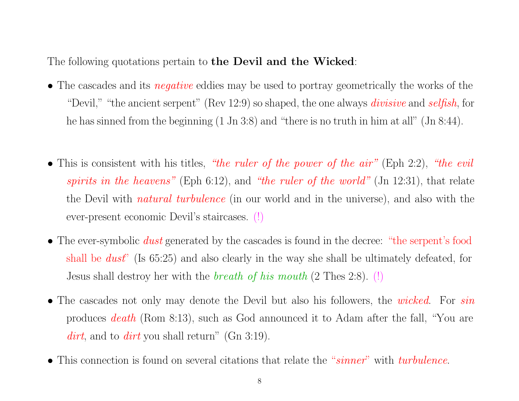The following quotations pertain to **the Devil and the Wicked**:

- The cascades and its *negative* eddies may be used to portray geometrically the works of the "Devil," "the ancient serpent" (Rev 12:9) so shaped, the one always *divisive* and *selfish*, for he has sinned from the beginning (1 Jn 3:8) and "there is no truth in him at all" (Jn 8:44).
- This is consistent with his titles, *"the ruler of the power of the air"* (Eph 2:2), *"the evil spirits in the heavens"* (Eph 6:12), and *"the ruler of the world"* (Jn 12:31), that relate the Devil with *natural turbulence* (in our world and in the universe), and also with the ever-present economic Devil's staircases. (!)
- The ever-symbolic *dust* generated by the cascades is found in the decree: "the serpent's food shall be *dust*" (Is 65:25) and also clearly in the way she shall be ultimately defeated, for Jesus shall destroy her with the *breath of his mouth* (2 Thes 2:8). (!)
- The cascades not only may denote the Devil but also his followers, the *wicked*. For *sin* produces *death* (Rom 8:13), such as God announced it to Adam after the fall, "You are *dirt*, and to *dirt* you shall return" (Gn 3:19).
- This connection is found on several citations that relate the "*sinner*" with *turbulence*.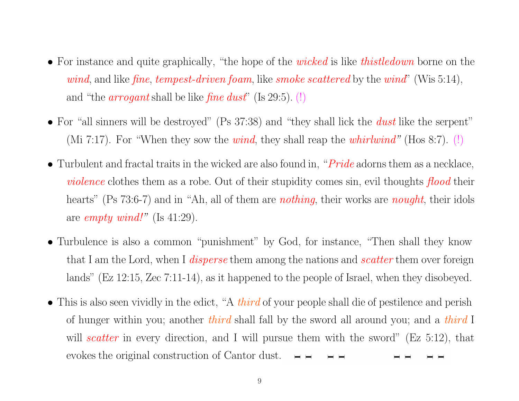- For instance and quite graphically, "the hope of the *wicked* is like *thistledown* borne on the *wind*, and like *fine*, *tempest-driven foam*, like *smoke scattered* by the *wind*" (Wis 5:14), and "the *arrogan<sup>t</sup>* shall be like *fine dust*" (Is 29:5). (!)
- For "all sinners will be destroyed" (Ps 37:38) and "they shall lick the *dust* like the serpent" (Mi 7:17). For "When they sow the *wind*, they shall reap the *whirlwind"* (Hos 8:7). (!)
- Turbulent and fractal traits in the wicked are also found in, "*Pride* adorns them as <sup>a</sup> necklace, *violence* clothes them as <sup>a</sup> robe. Out of their stupidity comes sin, evil thoughts *flood* their hearts" (Ps 73:6-7) and in "Ah, all of them are *nothing*, their works are *nought*, their idols are *empty wind!"* (Is 41:29).
- Turbulence is also <sup>a</sup> common "punishment" by God, for instance, "Then shall they know that I am the Lord, when I *disperse* them among the nations and *scatter* them over foreign lands" (Ez 12:15, Zec 7:11-14), as it happened to the people of Israel, when they disobeyed.
- This is also seen vividly in the edict, "A *third* of your people shall die of pestilence and perish of hunger within you; another *third* shall fall by the sword all around you; and <sup>a</sup> *third* I will *scatter* in every direction, and I will pursue them with the sword" (Ez 5:12), that evokes the original construction of Cantor dust. (!)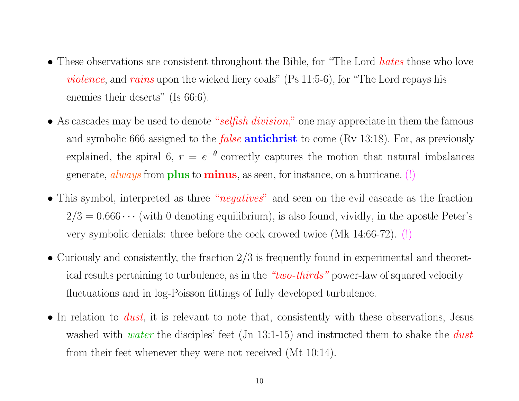- These observations are consistent throughout the Bible, for "The Lord *hates* those who love *violence*, and *rains* upon the wicked fiery coals" (Ps 11:5-6), for "The Lord repays his enemies their deserts" (Is 66:6).
- As cascades may be used to denote "*selfish division*," one may appreciate in them the famous and symbolic <sup>666</sup> assigned to the *false* **antichrist** to come (Rv 13:18). For, as previously explained, the spiral 6,  $r = e^{-\theta}$  correctly captures the motion that natural imbalances generate, *always* from **<sup>p</sup>lus** to **minus**, as seen, for instance, on <sup>a</sup> hurricane. (!)
- This symbol, interpreted as three "*negatives*" and seen on the evil cascade as the fraction  $2/3 = 0.666 \cdots$  (with 0 denoting equilibrium), is also found, vividly, in the apostle Peter's very symbolic denials: three before the cock crowed twice (Mk 14:66-72). (!)
- Curiously and consistently, the fraction  $2/3$  is frequently found in experimental and theoretical results pertaining to turbulence, as in the *"two-thirds"* power-law of squared velocity fluctuations and in log-Poisson fittings of fully developed turbulence.
- In relation to *dust*, it is relevant to note that, consistently with these observations, Jesus washed with *water* the disciples' feet (Jn 13:1-15) and instructed them to shake the *dust* from their feet whenever they were not received (Mt 10:14).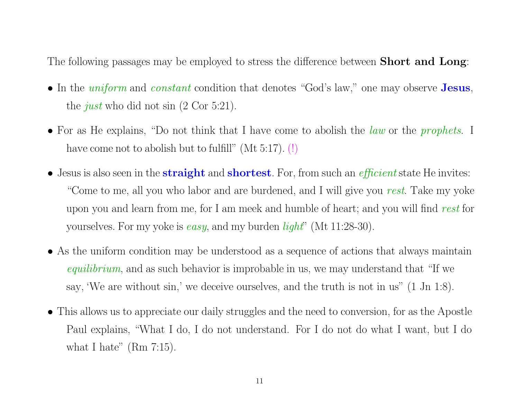The following passages may be employed to stress the difference between **Short and Long**:

- In the *uniform* and *constant* condition that denotes "God's law," one may observe **Jesus**, the *just* who did not sin (2 Cor 5:21).
- For as He explains, "Do not think that I have come to abolish the *law* or the *prophets*. I have come not to abolish but to fulfill" (Mt 5:17). (!)
- Jesus is also seen in the **straight** and **shortest**. For, from such an *efficient* state He invites: "Come to me, all you who labor and are burdened, and I will give you *rest*. Take my yoke upon you and learn from me, for I am meek and humble of heart; and you will find *rest* for yourselves. For my yoke is *easy*, and my burden *light*" (Mt 11:28-30).
- As the uniform condition may be understood as <sup>a</sup> sequence of actions that always maintain *equilibrium*, and as such behavior is improbable in us, we may understand that "If we say, 'We are without sin,' we deceive ourselves, and the truth is not in us" (1 Jn 1:8).
- This allows us to appreciate our daily struggles and the need to conversion, for as the Apostle Paul explains, "What I do, I do not understand. For I do not do what I want, but I do what I hate"  $(Rm 7:15)$ .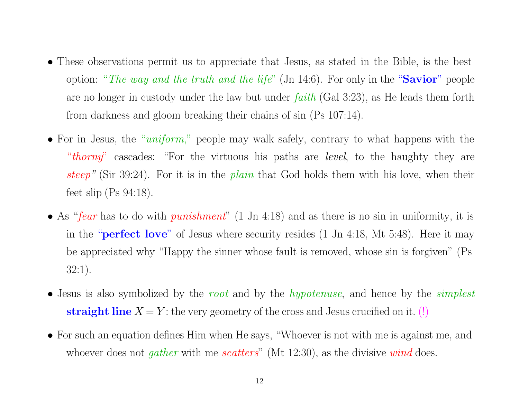- These observations permit us to appreciate that Jesus, as stated in the Bible, is the best option: "*The way and the truth and the life* " (Jn 14:6). For only in the "**Savior** " people are no longer in custody under the law but under *faith* (Gal 3:23), as He leads them forth from darkness and <sup>g</sup>loom breaking their chains of sin (Ps 107:14).
- For in Jesus, the "*uniform*," people may walk safely, contrary to what happens with the "*thorny*" cascades: "For the virtuous his paths are *level*, to the haughty they are *steep "* (Sir 39:24). For it is in the *plain* that God holds them with his love, when their feet slip (Ps 94:18).
- As "*fear* has to do with *punishment*" (1 Jn 4:18) and as there is no sin in uniformity, it is in the "**perfect love**" of Jesus where security resides (1 Jn 4:18, Mt 5:48). Here it may be appreciated why "Happy the sinner whose fault is removed, whose sin is forgiven" (Ps 32:1).
- Jesus is also symbolized by the *root* and by the *hypotenuse*, and hence by the *simplest* **straight** line  $X = Y$ : the very geometry of the cross and Jesus crucified on it.  $(!)$
- For such an equation defines Him when He says, "Whoever is not with me is against me, and whoever does not *gather* with me *scatters*" (Mt 12:30), as the divisive *wind* does.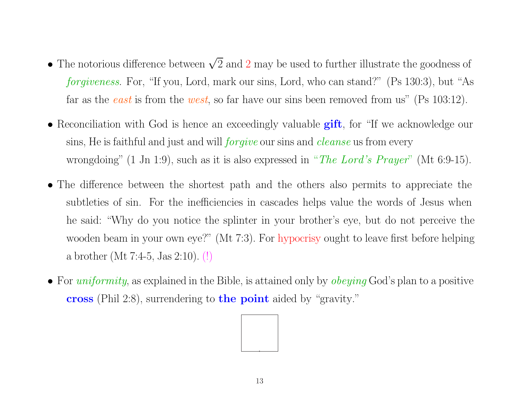- The notorious difference between  $\sqrt{2}$  and 2 may be used to further illustrate the goodness of *forgiveness*. For, "If you, Lord, mark our sins, Lord, who can stand?" (Ps 130:3), but "As far as the *east* is from the *west*, so far have our sins been removed from us" (Ps 103:12).
- Reconciliation with God is hence an exceedingly valuable **gift**, for "If we acknowledge our sins, He is faithful and just and will *forgive* our sins and *cleanse* us from every wrongdoing" (1 Jn 1:9), such as it is also expressed in "*The Lord's Prayer*" (Mt 6:9-15).
- The difference between the shortest path and the others also permits to appreciate the subtleties of sin. For the inefficiencies in cascades helps value the words of Jesus when he said: "Why do you notice the splinter in your brother's eye, but do not perceive the wooden beam in your own eye?" (Mt 7:3). For hypocrisy ought to leave first before helping <sup>a</sup> brother (Mt 7:4-5, Jas 2:10). (!)
- For *uniformity*, as explained in the Bible, is attained only by *obeying* God's <sup>p</sup>lan to <sup>a</sup> positive **cross** (Phil 2:8), surrendering to **the point** aided by "gravity."

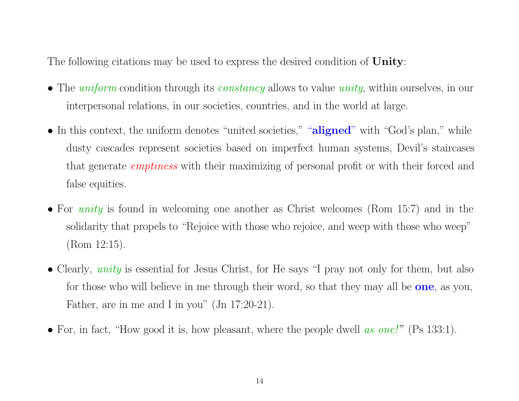The following citations may be used to express the desired condition of **Unity**:

- The *uniform* condition through its *constancy* allows to value *unity*, within ourselves, in our interpersonal relations, in our societies, countries, and in the world at large.
- In this context, the uniform denotes "united societies," "**aligned**" with "God's plan," while dusty cascades represent societies based on imperfect human systems, Devil's staircases that generate *emptiness* with their maximizing of personal profit or with their forced and false equities.
- For *unity* is found in welcoming one another as Christ welcomes (Rom 15:7) and in the solidarity that propels to "Rejoice with those who rejoice, and weep with those who weep" (Rom 12:15).
- Clearly, *unity* is essential for Jesus Christ, for He says "I pray not only for them, but also for those who will believe in me through their word, so that they may all be **one**, as you, Father, are in me and <sup>I</sup> in you" (Jn 17:20-21).
- For, in fact, "How good it is, how pleasant, where the people dwell *as one!*" (Ps 133:1).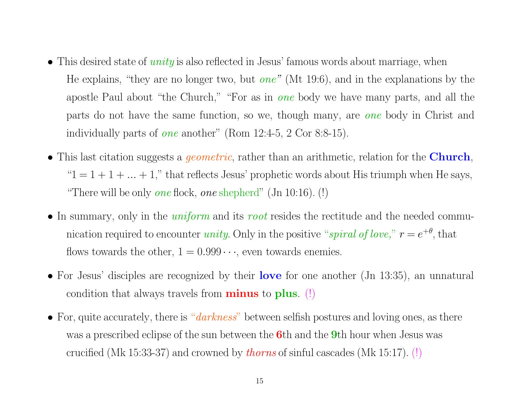- This desired state of *unity* is also reflected in Jesus' famous words about marriage, when He explains, "they are no longer two, but *one"* (Mt 19:6), and in the explanations by the apostle Paul about "the Church," "For as in *one* body we have many parts, and all the parts do not have the same function, so we, though many, are *one* body in Christ and individually parts of *one* another" (Rom 12:4-5, <sup>2</sup> Cor 8:8-15).
- This last citation suggests <sup>a</sup> *geometric*, rather than an arithmetic, relation for the **Church**, " $1 = 1 + 1 + \ldots + 1$ ," that reflects Jesus' prophetic words about His triumph when He says, "There will be only *one* flock, *one* shepherd" (Jn 10:16). (!)
- In summary, only in the *uniform* and its *root* resides the rectitude and the needed communication required to encounter *unity*. Only in the positive "*spiral of love*,"  $r = e^{+\theta}$ , that flows towards the other,  $1 = 0.999 \cdots$ , even towards enemies.
- For Jesus' disciples are recognized by their **love** for one another (Jn 13:35), an unnatural condition that always travels from **minus** to **<sup>p</sup>lus**. (!)
- For, quite accurately, there is "*darkness*" between selfish postures and loving ones, as there was <sup>a</sup> prescribed eclipse of the sun between the **6**th and the **9**th hour when Jesus was crucified (Mk 15:33-37) and crowned by *thorns* of sinful cascades (Mk 15:17). (!)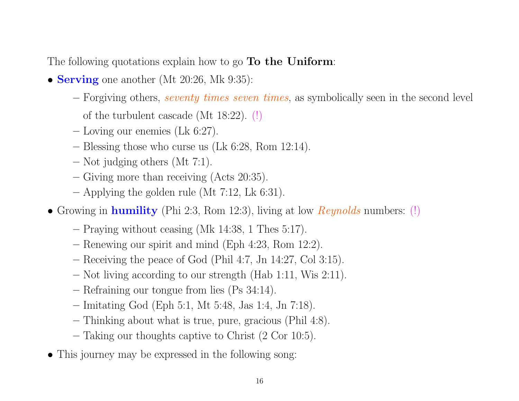The following quotations explain how to go **To the Uniform**:

- **Serving** one another (Mt 20:26, Mk 9:35):
	- **–** Forgiving others, *seventy times seven times*, as symbolically seen in the second level
		- of the turbulent cascade (Mt 18:22). (!)
	- **–** Loving our enemies (Lk 6:27).
	- **–** Blessing those who curse us (Lk 6:28, Rom 12:14).
	- **–** Not judging others (Mt 7:1).
	- **–** Giving more than receiving (Acts 20:35).
	- **–** Applying the golden rule (Mt 7:12, Lk 6:31).
- Growing in **humility** (Phi 2:3, Rom 12:3), living at low *Reynolds* numbers: (!)
	- **–** Praying without ceasing (Mk 14:38, <sup>1</sup> Thes 5:17).
	- **–** Renewing our spirit and mind (Eph 4:23, Rom 12:2).
	- **–** Receiving the peace of God (Phil 4:7, Jn 14:27, Col 3:15).
	- **–** Not living according to our strength (Hab 1:11, Wis 2:11).
	- **–** Refraining our tongue from lies (Ps 34:14).
	- **–** Imitating God (Eph 5:1, Mt 5:48, Jas 1:4, Jn 7:18).
	- **–** Thinking about what is true, pure, gracious (Phil 4:8).
	- **–** Taking our thoughts captive to Christ (2 Cor 10:5).
- This journey may be expressed in the following song: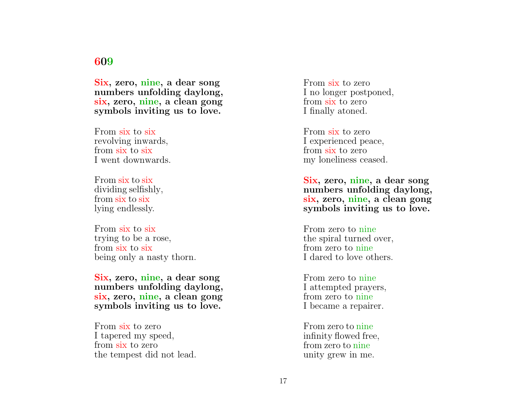#### **609**

**Six, zero, nine, <sup>a</sup> dear song numbers unfolding daylong, six, zero, nine, <sup>a</sup> clean gong symbols inviting us to love.**

From six to six revolving inwards, from six to six I went downwards.

From six to six dividing selfishly, from six to six lying endlessly.

From six to six trying to be <sup>a</sup> rose, from six to six being only <sup>a</sup> nasty thorn.

**Six, zero, nine, <sup>a</sup> dear song numbers unfolding daylong, six, zero, nine, <sup>a</sup> clean gong symbols inviting us to love.**

From six to zero I tapered my speed, from six to zero the tempest did not lead. From six to zero I no longer postponed, from six to zero I finally atoned.

From six to zero I experienced peace, from six to zero my loneliness ceased.

**Six, zero, nine, <sup>a</sup> dear song numbers unfolding daylong, six, zero, nine, <sup>a</sup> clean gong symbols inviting us to love.**

From zero to nine the spiral turned over, from zero to nine I dared to love others.

From zero to nine I attempted prayers, from zero to nine I became <sup>a</sup> repairer.

From zero to nine infinity flowed free, from zero to nine unity grew in me.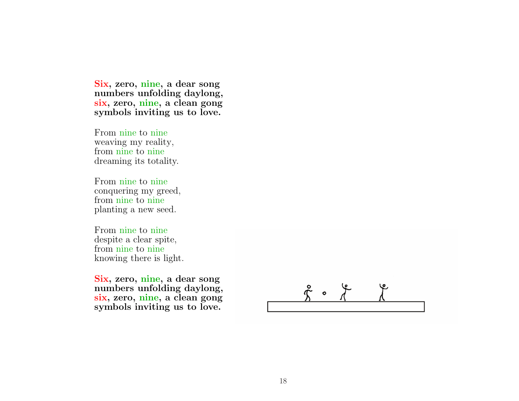**Six, zero, nine, <sup>a</sup> dear song numbers unfolding daylong, six, zero, nine, <sup>a</sup> clean gong symbols inviting us to love.**

From nine to nine weaving my reality, from nine to nine dreaming its totality.

From nine to nine conquering my greed, from nine to nine <sup>p</sup>lanting <sup>a</sup> new seed.

From nine to nine despite <sup>a</sup> clear spite, from nine to nine knowing there is light.

**Six, zero, nine, <sup>a</sup> dear song numbers unfolding daylong, six, zero, nine, <sup>a</sup> clean gong symbols inviting us to love.**

 $\stackrel{\circ}{\tau}$  o  $\stackrel{\circ}{\tau}$